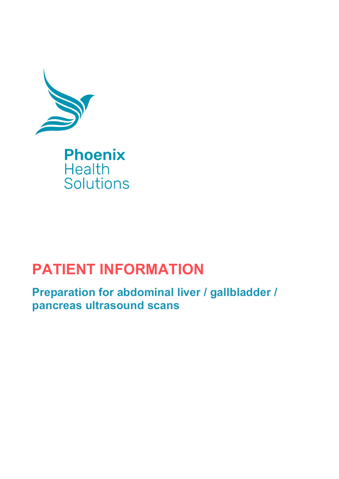

## **PATIENT INFORMATION**

**Preparation for abdominal liver / gallbladder / pancreas ultrasound scans**